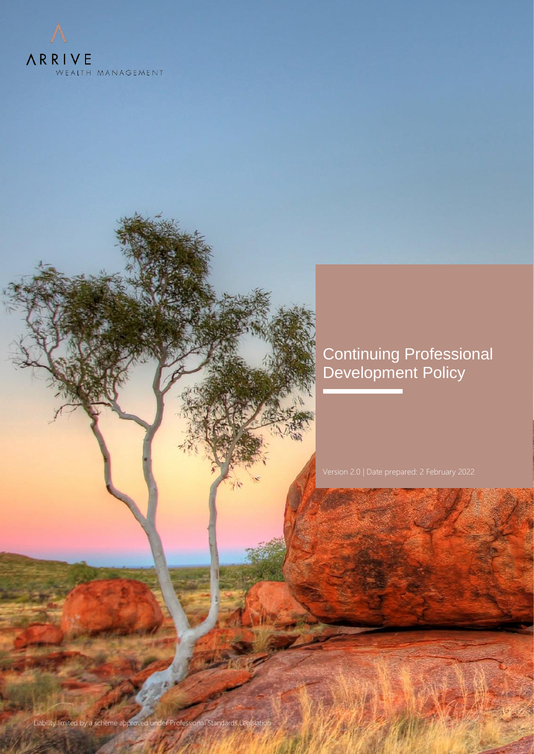

# Continuing Professional Development Policy

Liability limited by a scheme approved under Professional Standards Legislation | 1999 | 1999 | 1999 | 1999 | 1<br>Liability limited by a scheme approved under Professional Standards Legislation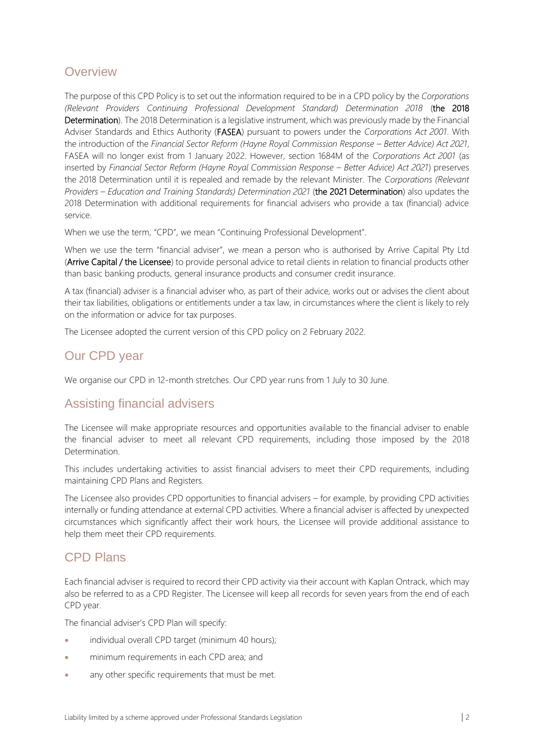### **Overview**

The purpose of this CPD Policy is to set out the information required to be in a CPD policy by the *Corporations (Relevant Providers Continuing Professional Development Standard) Determination 2018* (the 2018 Determination). The 2018 Determination is a legislative instrument, which was previously made by the Financial Adviser Standards and Ethics Authority (FASEA) pursuant to powers under the *Corporations Act 2001*. With the introduction of the *Financial Sector Reform (Hayne Royal Commission Response – Better Advice) Act 2021*, FASEA will no longer exist from 1 January 2022. However, section 1684M of the *Corporations Act 2001* (as inserted by *Financial Sector Reform (Hayne Royal Commission Response – Better Advice) Act 2021*) preserves the 2018 Determination until it is repealed and remade by the relevant Minister. The *Corporations (Relevant Providers – Education and Training Standards) Determination 2021* (the 2021 Determination) also updates the 2018 Determination with additional requirements for financial advisers who provide a tax (financial) advice service.

When we use the term, "CPD", we mean "Continuing Professional Development".

When we use the term "financial adviser", we mean a person who is authorised by Arrive Capital Pty Ltd (Arrive Capital / the Licensee) to provide personal advice to retail clients in relation to financial products other than basic banking products, general insurance products and consumer credit insurance.

A tax (financial) adviser is a financial adviser who, as part of their advice, works out or advises the client about their tax liabilities, obligations or entitlements under a tax law, in circumstances where the client is likely to rely on the information or advice for tax purposes.

The Licensee adopted the current version of this CPD policy on 2 February 2022.

## Our CPD year

We organise our CPD in 12-month stretches. Our CPD year runs from 1 July to 30 June.

#### Assisting financial advisers

The Licensee will make appropriate resources and opportunities available to the financial adviser to enable the financial adviser to meet all relevant CPD requirements, including those imposed by the 2018 **Determination** 

This includes undertaking activities to assist financial advisers to meet their CPD requirements, including maintaining CPD Plans and Registers.

The Licensee also provides CPD opportunities to financial advisers – for example, by providing CPD activities internally or funding attendance at external CPD activities. Where a financial adviser is affected by unexpected circumstances which significantly affect their work hours, the Licensee will provide additional assistance to help them meet their CPD requirements.

#### CPD Plans

Each financial adviser is required to record their CPD activity via their account with Kaplan Ontrack, which may also be referred to as a CPD Register. The Licensee will keep all records for seven years from the end of each CPD year.

The financial adviser's CPD Plan will specify:

- individual overall CPD target (minimum 40 hours);
- minimum requirements in each CPD area; and
- any other specific requirements that must be met.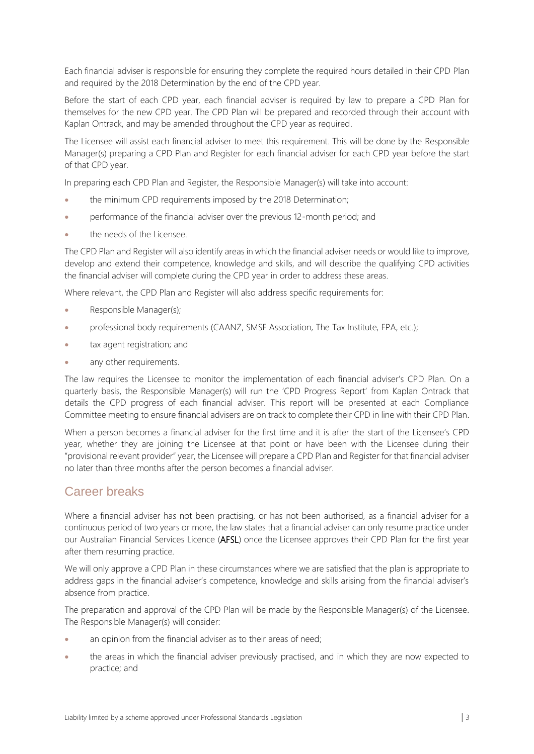Each financial adviser is responsible for ensuring they complete the required hours detailed in their CPD Plan and required by the 2018 Determination by the end of the CPD year.

Before the start of each CPD year, each financial adviser is required by law to prepare a CPD Plan for themselves for the new CPD year. The CPD Plan will be prepared and recorded through their account with Kaplan Ontrack, and may be amended throughout the CPD year as required.

The Licensee will assist each financial adviser to meet this requirement. This will be done by the Responsible Manager(s) preparing a CPD Plan and Register for each financial adviser for each CPD year before the start of that CPD year.

In preparing each CPD Plan and Register, the Responsible Manager(s) will take into account:

- the minimum CPD requirements imposed by the 2018 Determination;
- performance of the financial adviser over the previous 12-month period; and
- the needs of the Licensee.

The CPD Plan and Register will also identify areas in which the financial adviser needs or would like to improve, develop and extend their competence, knowledge and skills, and will describe the qualifying CPD activities the financial adviser will complete during the CPD year in order to address these areas.

Where relevant, the CPD Plan and Register will also address specific requirements for:

- Responsible Manager(s);
- professional body requirements (CAANZ, SMSF Association, The Tax Institute, FPA, etc.);
- tax agent registration; and
- any other requirements.

The law requires the Licensee to monitor the implementation of each financial adviser's CPD Plan. On a quarterly basis, the Responsible Manager(s) will run the 'CPD Progress Report' from Kaplan Ontrack that details the CPD progress of each financial adviser. This report will be presented at each Compliance Committee meeting to ensure financial advisers are on track to complete their CPD in line with their CPD Plan.

When a person becomes a financial adviser for the first time and it is after the start of the Licensee's CPD year, whether they are joining the Licensee at that point or have been with the Licensee during their "provisional relevant provider" year, the Licensee will prepare a CPD Plan and Register for that financial adviser no later than three months after the person becomes a financial adviser.

#### Career breaks

Where a financial adviser has not been practising, or has not been authorised, as a financial adviser for a continuous period of two years or more, the law states that a financial adviser can only resume practice under our Australian Financial Services Licence (AFSL) once the Licensee approves their CPD Plan for the first year after them resuming practice.

We will only approve a CPD Plan in these circumstances where we are satisfied that the plan is appropriate to address gaps in the financial adviser's competence, knowledge and skills arising from the financial adviser's absence from practice.

The preparation and approval of the CPD Plan will be made by the Responsible Manager(s) of the Licensee. The Responsible Manager(s) will consider:

- an opinion from the financial adviser as to their areas of need;
- the areas in which the financial adviser previously practised, and in which they are now expected to practice; and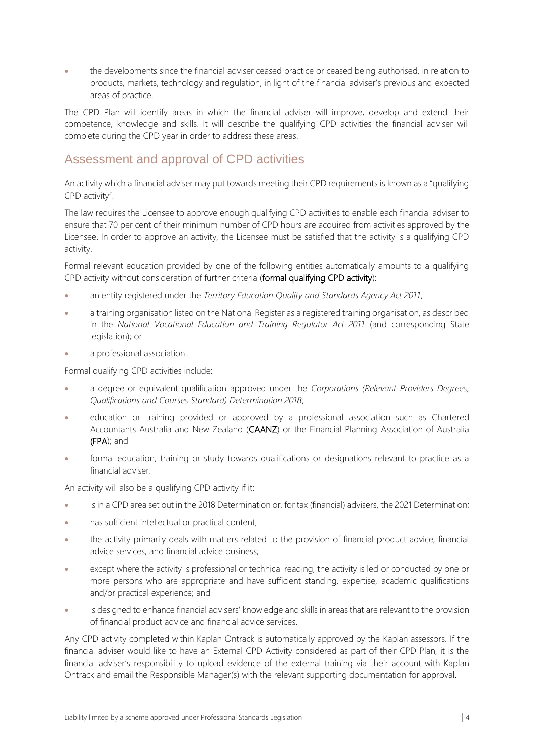• the developments since the financial adviser ceased practice or ceased being authorised, in relation to products, markets, technology and regulation, in light of the financial adviser's previous and expected areas of practice.

The CPD Plan will identify areas in which the financial adviser will improve, develop and extend their competence, knowledge and skills. It will describe the qualifying CPD activities the financial adviser will complete during the CPD year in order to address these areas.

## Assessment and approval of CPD activities

An activity which a financial adviser may put towards meeting their CPD requirements is known as a "qualifying CPD activity".

The law requires the Licensee to approve enough qualifying CPD activities to enable each financial adviser to ensure that 70 per cent of their minimum number of CPD hours are acquired from activities approved by the Licensee. In order to approve an activity, the Licensee must be satisfied that the activity is a qualifying CPD activity.

Formal relevant education provided by one of the following entities automatically amounts to a qualifying CPD activity without consideration of further criteria (formal qualifying CPD activity):

- an entity registered under the *Territory Education Quality and Standards Agency Act 2011*;
- a training organisation listed on the National Register as a registered training organisation, as described in the *National Vocational Education and Training Regulator Act 2011* (and corresponding State legislation); or
- a professional association.

Formal qualifying CPD activities include:

- a degree or equivalent qualification approved under the *Corporations (Relevant Providers Degrees, Qualifications and Courses Standard) Determination 2018*;
- education or training provided or approved by a professional association such as Chartered Accountants Australia and New Zealand (CAANZ) or the Financial Planning Association of Australia (FPA); and
- formal education, training or study towards qualifications or designations relevant to practice as a financial adviser.

An activity will also be a qualifying CPD activity if it:

- is in a CPD area set out in the 2018 Determination or, for tax (financial) advisers, the 2021 Determination;
- has sufficient intellectual or practical content;
- the activity primarily deals with matters related to the provision of financial product advice, financial advice services, and financial advice business;
- except where the activity is professional or technical reading, the activity is led or conducted by one or more persons who are appropriate and have sufficient standing, expertise, academic qualifications and/or practical experience; and
- is designed to enhance financial advisers' knowledge and skills in areas that are relevant to the provision of financial product advice and financial advice services.

Any CPD activity completed within Kaplan Ontrack is automatically approved by the Kaplan assessors. If the financial adviser would like to have an External CPD Activity considered as part of their CPD Plan, it is the financial adviser's responsibility to upload evidence of the external training via their account with Kaplan Ontrack and email the Responsible Manager(s) with the relevant supporting documentation for approval.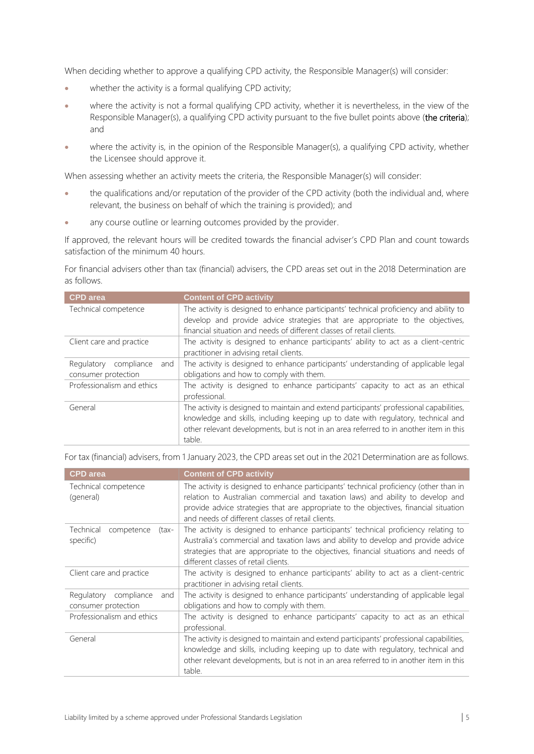When deciding whether to approve a qualifying CPD activity, the Responsible Manager(s) will consider:

- whether the activity is a formal qualifying CPD activity;
- where the activity is not a formal qualifying CPD activity, whether it is nevertheless, in the view of the Responsible Manager(s), a qualifying CPD activity pursuant to the five bullet points above (the criteria); and
- where the activity is, in the opinion of the Responsible Manager(s), a qualifying CPD activity, whether the Licensee should approve it.

When assessing whether an activity meets the criteria, the Responsible Manager(s) will consider:

- the qualifications and/or reputation of the provider of the CPD activity (both the individual and, where relevant, the business on behalf of which the training is provided); and
- any course outline or learning outcomes provided by the provider.

If approved, the relevant hours will be credited towards the financial adviser's CPD Plan and count towards satisfaction of the minimum 40 hours.

For financial advisers other than tax (financial) advisers, the CPD areas set out in the 2018 Determination are as follows.

| <b>CPD</b> area                                     | <b>Content of CPD activity</b>                                                                                                                                                                                                                                                    |
|-----------------------------------------------------|-----------------------------------------------------------------------------------------------------------------------------------------------------------------------------------------------------------------------------------------------------------------------------------|
| Technical competence                                | The activity is designed to enhance participants' technical proficiency and ability to<br>develop and provide advice strategies that are appropriate to the objectives,<br>financial situation and needs of different classes of retail clients.                                  |
| Client care and practice                            | The activity is designed to enhance participants' ability to act as a client-centric<br>practitioner in advising retail clients.                                                                                                                                                  |
| Regulatory compliance<br>and<br>consumer protection | The activity is designed to enhance participants' understanding of applicable legal<br>obligations and how to comply with them.                                                                                                                                                   |
| Professionalism and ethics                          | The activity is designed to enhance participants' capacity to act as an ethical<br>professional.                                                                                                                                                                                  |
| General                                             | The activity is designed to maintain and extend participants' professional capabilities,<br>knowledge and skills, including keeping up to date with regulatory, technical and<br>other relevant developments, but is not in an area referred to in another item in this<br>table. |

For tax (financial) advisers, from 1 January 2023, the CPD areas set out in the 2021 Determination are as follows.

| <b>CPD</b> area                                     | <b>Content of CPD activity</b>                                                                                                                                                                                                                                                                            |
|-----------------------------------------------------|-----------------------------------------------------------------------------------------------------------------------------------------------------------------------------------------------------------------------------------------------------------------------------------------------------------|
| Technical competence<br>(general)                   | The activity is designed to enhance participants' technical proficiency (other than in<br>relation to Australian commercial and taxation laws) and ability to develop and<br>provide advice strategies that are appropriate to the objectives, financial situation                                        |
|                                                     | and needs of different classes of retail clients.                                                                                                                                                                                                                                                         |
| Technical<br>competence<br>(tax-<br>specific)       | The activity is designed to enhance participants' technical proficiency relating to<br>Australia's commercial and taxation laws and ability to develop and provide advice<br>strategies that are appropriate to the objectives, financial situations and needs of<br>different classes of retail clients. |
| Client care and practice                            | The activity is designed to enhance participants' ability to act as a client-centric<br>practitioner in advising retail clients.                                                                                                                                                                          |
| Regulatory compliance<br>and<br>consumer protection | The activity is designed to enhance participants' understanding of applicable legal<br>obligations and how to comply with them.                                                                                                                                                                           |
| Professionalism and ethics                          | The activity is designed to enhance participants' capacity to act as an ethical<br>professional.                                                                                                                                                                                                          |
| General                                             | The activity is designed to maintain and extend participants' professional capabilities,<br>knowledge and skills, including keeping up to date with regulatory, technical and<br>other relevant developments, but is not in an area referred to in another item in this<br>table.                         |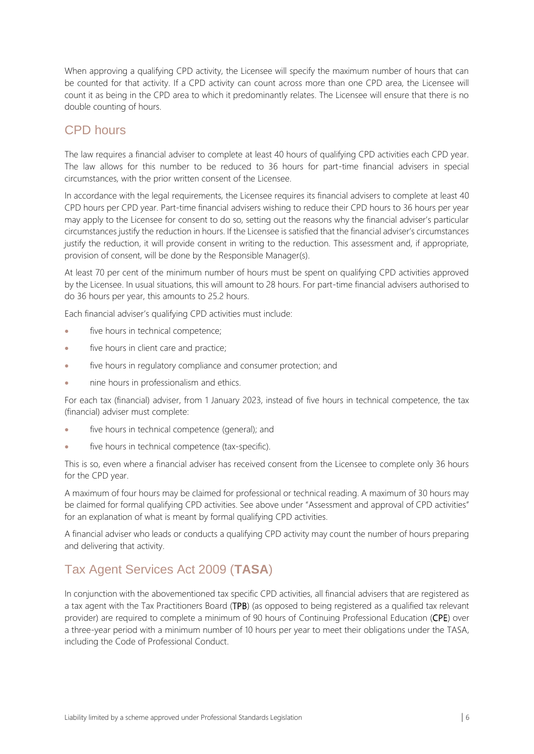When approving a qualifying CPD activity, the Licensee will specify the maximum number of hours that can be counted for that activity. If a CPD activity can count across more than one CPD area, the Licensee will count it as being in the CPD area to which it predominantly relates. The Licensee will ensure that there is no double counting of hours.

## CPD hours

The law requires a financial adviser to complete at least 40 hours of qualifying CPD activities each CPD year. The law allows for this number to be reduced to 36 hours for part-time financial advisers in special circumstances, with the prior written consent of the Licensee.

In accordance with the legal requirements, the Licensee requires its financial advisers to complete at least 40 CPD hours per CPD year. Part-time financial advisers wishing to reduce their CPD hours to 36 hours per year may apply to the Licensee for consent to do so, setting out the reasons why the financial adviser's particular circumstances justify the reduction in hours. If the Licensee is satisfied that the financial adviser's circumstances justify the reduction, it will provide consent in writing to the reduction. This assessment and, if appropriate, provision of consent, will be done by the Responsible Manager(s).

At least 70 per cent of the minimum number of hours must be spent on qualifying CPD activities approved by the Licensee. In usual situations, this will amount to 28 hours. For part-time financial advisers authorised to do 36 hours per year, this amounts to 25.2 hours.

Each financial adviser's qualifying CPD activities must include:

- five hours in technical competence;
- five hours in client care and practice;
- five hours in regulatory compliance and consumer protection; and
- nine hours in professionalism and ethics.

For each tax (financial) adviser, from 1 January 2023, instead of five hours in technical competence, the tax (financial) adviser must complete:

- five hours in technical competence (general); and
- five hours in technical competence (tax-specific).

This is so, even where a financial adviser has received consent from the Licensee to complete only 36 hours for the CPD year.

A maximum of four hours may be claimed for professional or technical reading. A maximum of 30 hours may be claimed for formal qualifying CPD activities. See above under "Assessment and approval of CPD activities" for an explanation of what is meant by formal qualifying CPD activities.

A financial adviser who leads or conducts a qualifying CPD activity may count the number of hours preparing and delivering that activity.

# Tax Agent Services Act 2009 (**TASA**)

In conjunction with the abovementioned tax specific CPD activities, all financial advisers that are registered as a tax agent with the Tax Practitioners Board (TPB) (as opposed to being registered as a qualified tax relevant provider) are required to complete a minimum of 90 hours of Continuing Professional Education (CPE) over a three-year period with a minimum number of 10 hours per year to meet their obligations under the TASA, including the Code of Professional Conduct.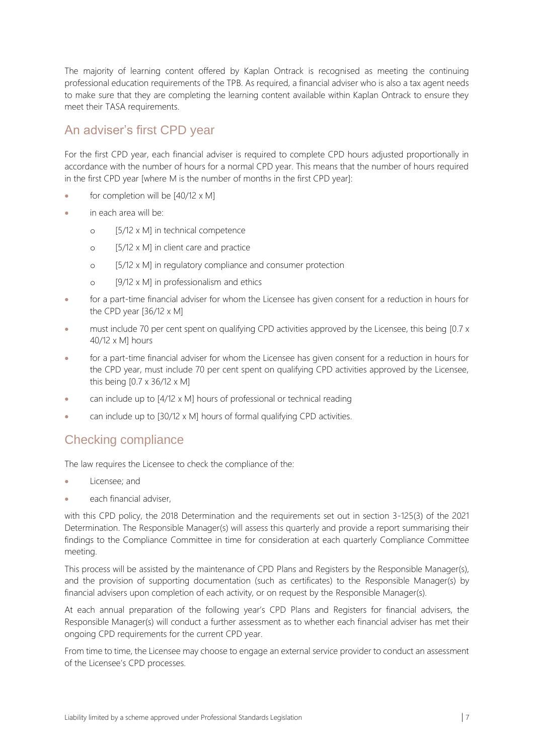The majority of learning content offered by Kaplan Ontrack is recognised as meeting the continuing professional education requirements of the TPB. As required, a financial adviser who is also a tax agent needs to make sure that they are completing the learning content available within Kaplan Ontrack to ensure they meet their TASA requirements.

## An adviser's first CPD year

For the first CPD year, each financial adviser is required to complete CPD hours adjusted proportionally in accordance with the number of hours for a normal CPD year. This means that the number of hours required in the first CPD year [where M is the number of months in the first CPD year]:

- for completion will be  $[40/12 \times M]$
- in each area will be:
	- o [5/12 x M] in technical competence
	- o [5/12 x M] in client care and practice
	- o [5/12 x M] in regulatory compliance and consumer protection
	- o [9/12 x M] in professionalism and ethics
- for a part-time financial adviser for whom the Licensee has given consent for a reduction in hours for the CPD year [36/12 x M]
- must include 70 per cent spent on qualifying CPD activities approved by the Licensee, this being [0.7 x 40/12 x M] hours
- for a part-time financial adviser for whom the Licensee has given consent for a reduction in hours for the CPD year, must include 70 per cent spent on qualifying CPD activities approved by the Licensee, this being [0.7 x 36/12 x M]
- can include up to [4/12 x M] hours of professional or technical reading
- can include up to [30/12 x M] hours of formal qualifying CPD activities.

#### Checking compliance

The law requires the Licensee to check the compliance of the:

- Licensee; and
- each financial adviser.

with this CPD policy, the 2018 Determination and the requirements set out in section 3-125(3) of the 2021 Determination. The Responsible Manager(s) will assess this quarterly and provide a report summarising their findings to the Compliance Committee in time for consideration at each quarterly Compliance Committee meeting.

This process will be assisted by the maintenance of CPD Plans and Registers by the Responsible Manager(s), and the provision of supporting documentation (such as certificates) to the Responsible Manager(s) by financial advisers upon completion of each activity, or on request by the Responsible Manager(s).

At each annual preparation of the following year's CPD Plans and Registers for financial advisers, the Responsible Manager(s) will conduct a further assessment as to whether each financial adviser has met their ongoing CPD requirements for the current CPD year.

From time to time, the Licensee may choose to engage an external service provider to conduct an assessment of the Licensee's CPD processes.